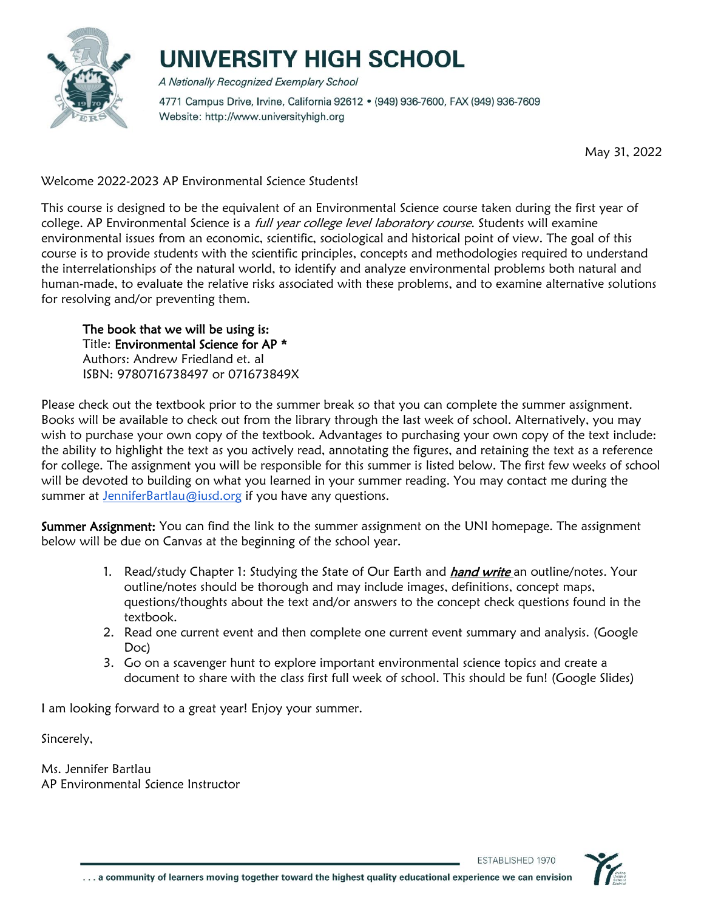

# UNIVERSITY HIGH SCHOOL

A Nationally Recognized Exemplary School 4771 Campus Drive, Irvine, California 92612 · (949) 936-7600, FAX (949) 936-7609 Website: http://www.universityhigh.org

May 31, 2022

Welcome 2022-2023 AP Environmental Science Students!

This course is designed to be the equivalent of an Environmental Science course taken during the first year of college. AP Environmental Science is a full year college level laboratory course. Students will examine environmental issues from an economic, scientific, sociological and historical point of view. The goal of this course is to provide students with the scientific principles, concepts and methodologies required to understand the interrelationships of the natural world, to identify and analyze environmental problems both natural and human-made, to evaluate the relative risks associated with these problems, and to examine alternative solutions for resolving and/or preventing them.

The book that we will be using is: Title: Environmental Science for AP \* Authors: Andrew Friedland et. al ISBN: 9780716738497 or 071673849X

Please check out the textbook prior to the summer break so that you can complete the summer assignment. Books will be available to check out from the library through the last week of school. Alternatively, you may wish to purchase your own copy of the textbook. Advantages to purchasing your own copy of the text include: the ability to highlight the text as you actively read, annotating the figures, and retaining the text as a reference for college. The assignment you will be responsible for this summer is listed below. The first few weeks of school will be devoted to building on what you learned in your summer reading. You may contact me during the summer at [JenniferBartlau@iusd.org](mailto:JenniferBartlau@iusd.org) if you have any questions.

Summer Assignment: You can find the link to the summer assignment on the UNI homepage. The assignment below will be due on Canvas at the beginning of the school year.

- 1. Read/study Chapter 1: Studying the State of Our Earth and *hand write* an outline/notes. Your outline/notes should be thorough and may include images, definitions, concept maps, questions/thoughts about the text and/or answers to the concept check questions found in the textbook.
- 2. Read one current event and then complete one current event summary and analysis. (Google Doc)
- 3. Go on a scavenger hunt to explore important environmental science topics and create a document to share with the class first full week of school. This should be fun! (Google Slides)

I am looking forward to a great year! Enjoy your summer.

Sincerely,

Ms. Jennifer Bartlau AP Environmental Science Instructor

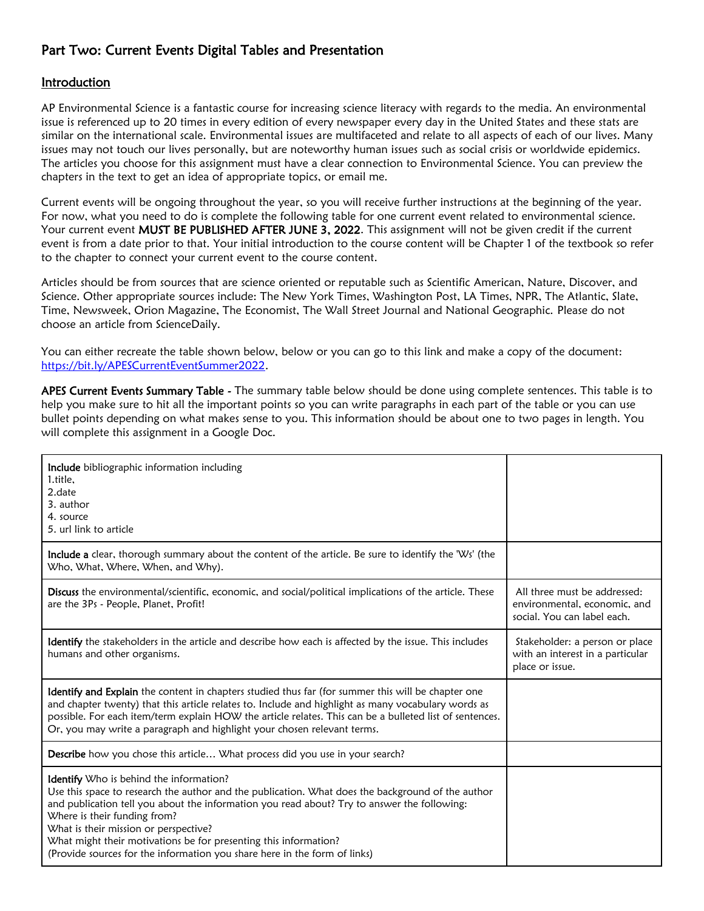### Part Two: Current Events Digital Tables and Presentation

#### **Introduction**

AP Environmental Science is a fantastic course for increasing science literacy with regards to the media. An environmental issue is referenced up to 20 times in every edition of every newspaper every day in the United States and these stats are similar on the international scale. Environmental issues are multifaceted and relate to all aspects of each of our lives. Many issues may not touch our lives personally, but are noteworthy human issues such as social crisis or worldwide epidemics. The articles you choose for this assignment must have a clear connection to Environmental Science. You can preview the chapters in the text to get an idea of appropriate topics, or email me.

Current events will be ongoing throughout the year, so you will receive further instructions at the beginning of the year. For now, what you need to do is complete the following table for one current event related to environmental science. Your current event MUST BE PUBLISHED AFTER JUNE 3, 2022. This assignment will not be given credit if the current event is from a date prior to that. Your initial introduction to the course content will be Chapter 1 of the textbook so refer to the chapter to connect your current event to the course content.

Articles should be from sources that are science oriented or reputable such as Scientific American, Nature, Discover, and Science. Other appropriate sources include: The New York Times, Washington Post, LA Times, NPR, The Atlantic, Slate, Time, Newsweek, Orion Magazine, The Economist, The Wall Street Journal and National Geographic. Please do not choose an article from ScienceDaily.

You can either recreate the table shown below, below or you can go to this link and make a copy of the document: [https://bit.ly/APESCurrentEventSummer2022.](https://bit.ly/APESCurrentEventSummer2022)

APES Current Events Summary Table - The summary table below should be done using complete sentences. This table is to help you make sure to hit all the important points so you can write paragraphs in each part of the table or you can use bullet points depending on what makes sense to you. This information should be about one to two pages in length. You will complete this assignment in a Google Doc.

| Include bibliographic information including<br>1.title,<br>2.date<br>3. author<br>4. source<br>5. url link to article                                                                                                                                                                                                                                                                                                                                                 |                                                                                             |
|-----------------------------------------------------------------------------------------------------------------------------------------------------------------------------------------------------------------------------------------------------------------------------------------------------------------------------------------------------------------------------------------------------------------------------------------------------------------------|---------------------------------------------------------------------------------------------|
| <b>Include a</b> clear, thorough summary about the content of the article. Be sure to identify the 'Ws' (the<br>Who, What, Where, When, and Why).                                                                                                                                                                                                                                                                                                                     |                                                                                             |
| Discuss the environmental/scientific, economic, and social/political implications of the article. These<br>are the 3Ps - People, Planet, Profit!                                                                                                                                                                                                                                                                                                                      | All three must be addressed:<br>environmental, economic, and<br>social. You can label each. |
| Identify the stakeholders in the article and describe how each is affected by the issue. This includes<br>humans and other organisms.                                                                                                                                                                                                                                                                                                                                 | Stakeholder: a person or place<br>with an interest in a particular<br>place or issue.       |
| <b>Identify and Explain</b> the content in chapters studied thus far (for summer this will be chapter one<br>and chapter twenty) that this article relates to. Include and highlight as many vocabulary words as<br>possible. For each item/term explain HOW the article relates. This can be a bulleted list of sentences.<br>Or, you may write a paragraph and highlight your chosen relevant terms.                                                                |                                                                                             |
| Describe how you chose this article What process did you use in your search?                                                                                                                                                                                                                                                                                                                                                                                          |                                                                                             |
| Identify Who is behind the information?<br>Use this space to research the author and the publication. What does the background of the author<br>and publication tell you about the information you read about? Try to answer the following:<br>Where is their funding from?<br>What is their mission or perspective?<br>What might their motivations be for presenting this information?<br>(Provide sources for the information you share here in the form of links) |                                                                                             |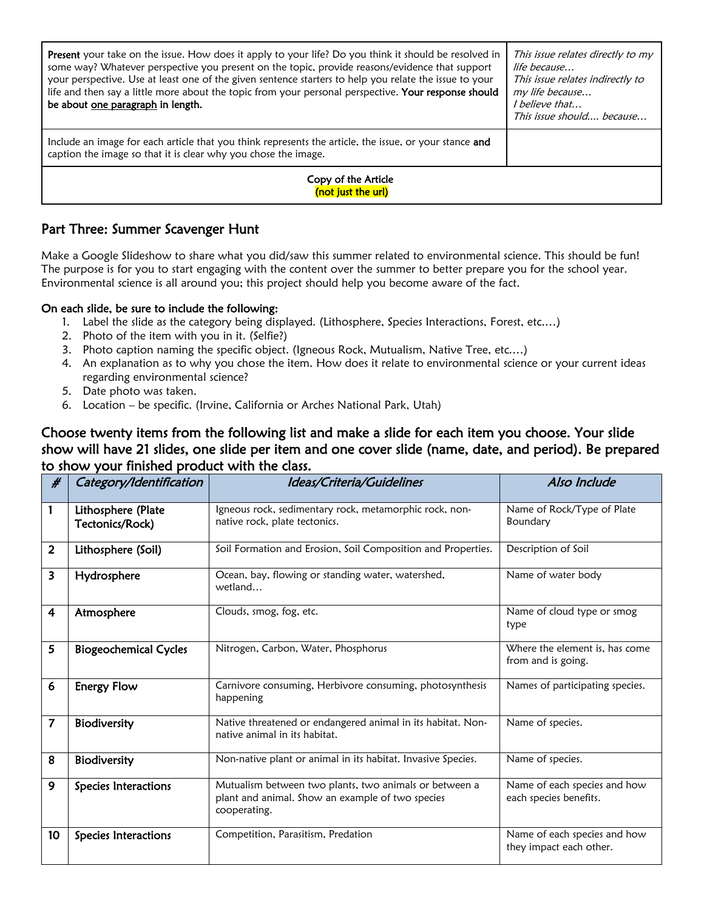| Present your take on the issue. How does it apply to your life? Do you think it should be resolved in<br>some way? Whatever perspective you present on the topic, provide reasons/evidence that support<br>your perspective. Use at least one of the given sentence starters to help you relate the issue to your<br>life and then say a little more about the topic from your personal perspective. Your response should<br>be about one paragraph in length. | This issue relates directly to my<br>life because<br>This issue relates indirectly to<br>my life because<br><i>I believe that</i><br>This issue should because |  |  |
|----------------------------------------------------------------------------------------------------------------------------------------------------------------------------------------------------------------------------------------------------------------------------------------------------------------------------------------------------------------------------------------------------------------------------------------------------------------|----------------------------------------------------------------------------------------------------------------------------------------------------------------|--|--|
| Include an image for each article that you think represents the article, the issue, or your stance and<br>caption the image so that it is clear why you chose the image.                                                                                                                                                                                                                                                                                       |                                                                                                                                                                |  |  |
| Copy of the Article<br>(not just the url)                                                                                                                                                                                                                                                                                                                                                                                                                      |                                                                                                                                                                |  |  |

#### Part Three: Summer Scavenger Hunt

Make a Google Slideshow to share what you did/saw this summer related to environmental science. This should be fun! The purpose is for you to start engaging with the content over the summer to better prepare you for the school year. Environmental science is all around you; this project should help you become aware of the fact.

#### On each slide, be sure to include the following:

- 1. Label the slide as the category being displayed. (Lithosphere, Species Interactions, Forest, etc.…)
- 2. Photo of the item with you in it. (Selfie?)
- 3. Photo caption naming the specific object. (Igneous Rock, Mutualism, Native Tree, etc.…)
- 4. An explanation as to why you chose the item. How does it relate to environmental science or your current ideas regarding environmental science?
- 5. Date photo was taken.
- 6. Location be specific. (Irvine, California or Arches National Park, Utah)

#### Choose twenty items from the following list and make a slide for each item you choose. Your slide show will have 21 slides, one slide per item and one cover slide (name, date, and period). Be prepared to show your finished product with the class.

| #                       | Category/Identification               | Ideas/Criteria/Guidelines                                                                                                  | Also Include                                            |
|-------------------------|---------------------------------------|----------------------------------------------------------------------------------------------------------------------------|---------------------------------------------------------|
| 1                       | Lithosphere (Plate<br>Tectonics/Rock) | Igneous rock, sedimentary rock, metamorphic rock, non-<br>native rock, plate tectonics.                                    | Name of Rock/Type of Plate<br>Boundary                  |
| $\overline{2}$          | Lithosphere (Soil)                    | Soil Formation and Erosion, Soil Composition and Properties.                                                               | Description of Soil                                     |
| 3                       | Hydrosphere                           | Ocean, bay, flowing or standing water, watershed,<br>wetland                                                               | Name of water body                                      |
| $\overline{\mathbf{4}}$ | Atmosphere                            | Clouds, smog, fog, etc.                                                                                                    | Name of cloud type or smog<br>type                      |
| 5                       | <b>Biogeochemical Cycles</b>          | Nitrogen, Carbon, Water, Phosphorus                                                                                        | Where the element is, has come<br>from and is going.    |
| 6                       | <b>Energy Flow</b>                    | Carnivore consuming, Herbivore consuming, photosynthesis<br>happening                                                      | Names of participating species.                         |
| $\overline{7}$          | Biodiversity                          | Native threatened or endangered animal in its habitat. Non-<br>native animal in its habitat.                               | Name of species.                                        |
| 8                       | Biodiversity                          | Non-native plant or animal in its habitat. Invasive Species.                                                               | Name of species.                                        |
| 9                       | Species Interactions                  | Mutualism between two plants, two animals or between a<br>plant and animal. Show an example of two species<br>cooperating. | Name of each species and how<br>each species benefits.  |
| 10                      | Species Interactions                  | Competition, Parasitism, Predation                                                                                         | Name of each species and how<br>they impact each other. |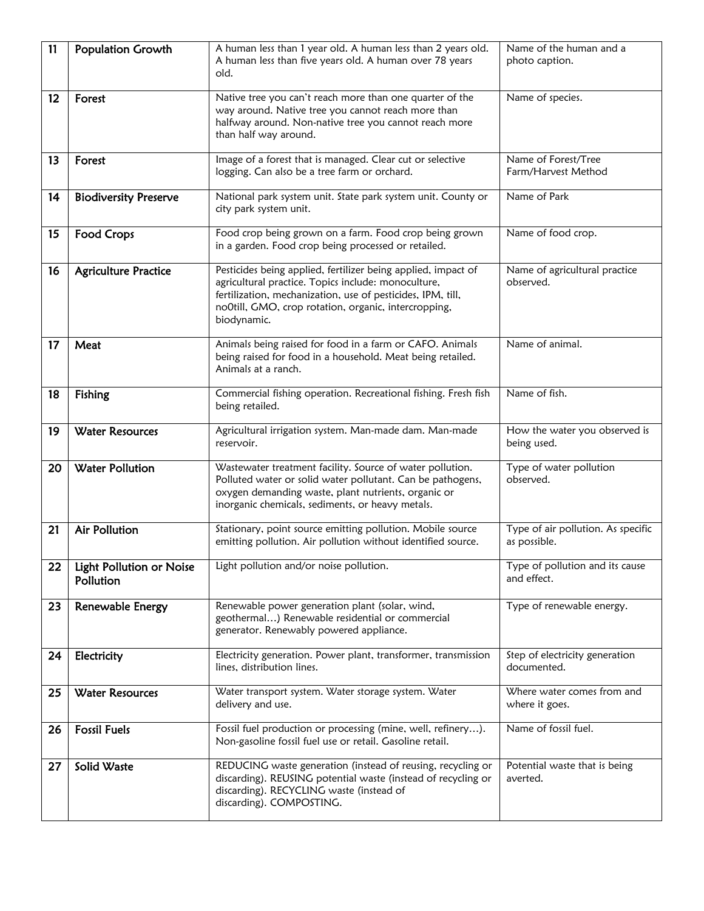| 11 | <b>Population Growth</b>              | A human less than 1 year old. A human less than 2 years old.<br>A human less than five years old. A human over 78 years<br>old.                                                                                                                            | Name of the human and a<br>photo caption.          |
|----|---------------------------------------|------------------------------------------------------------------------------------------------------------------------------------------------------------------------------------------------------------------------------------------------------------|----------------------------------------------------|
| 12 | Forest                                | Native tree you can't reach more than one quarter of the<br>way around. Native tree you cannot reach more than<br>halfway around. Non-native tree you cannot reach more<br>than half way around.                                                           | Name of species.                                   |
| 13 | Forest                                | Image of a forest that is managed. Clear cut or selective<br>logging. Can also be a tree farm or orchard.                                                                                                                                                  | Name of Forest/Tree<br>Farm/Harvest Method         |
| 14 | <b>Biodiversity Preserve</b>          | National park system unit. State park system unit. County or<br>city park system unit.                                                                                                                                                                     | Name of Park                                       |
| 15 | Food Crops                            | Food crop being grown on a farm. Food crop being grown<br>in a garden. Food crop being processed or retailed.                                                                                                                                              | Name of food crop.                                 |
| 16 | <b>Agriculture Practice</b>           | Pesticides being applied, fertilizer being applied, impact of<br>agricultural practice. Topics include: monoculture,<br>fertilization, mechanization, use of pesticides, IPM, till,<br>no0till, GMO, crop rotation, organic, intercropping,<br>biodynamic. | Name of agricultural practice<br>observed.         |
| 17 | Meat                                  | Animals being raised for food in a farm or CAFO. Animals<br>being raised for food in a household. Meat being retailed.<br>Animals at a ranch.                                                                                                              | Name of animal.                                    |
| 18 | Fishing                               | Commercial fishing operation. Recreational fishing. Fresh fish<br>being retailed.                                                                                                                                                                          | Name of fish.                                      |
| 19 | <b>Water Resources</b>                | Agricultural irrigation system. Man-made dam. Man-made<br>reservoir.                                                                                                                                                                                       | How the water you observed is<br>being used.       |
| 20 | <b>Water Pollution</b>                | Wastewater treatment facility. Source of water pollution.<br>Polluted water or solid water pollutant. Can be pathogens,<br>oxygen demanding waste, plant nutrients, organic or<br>inorganic chemicals, sediments, or heavy metals.                         | Type of water pollution<br>observed.               |
| 21 | <b>Air Pollution</b>                  | Stationary, point source emitting pollution. Mobile source<br>emitting pollution. Air pollution without identified source.                                                                                                                                 | Type of air pollution. As specific<br>as possible. |
| 22 | Light Pollution or Noise<br>Pollution | Light pollution and/or noise pollution.                                                                                                                                                                                                                    | Type of pollution and its cause<br>and effect.     |
| 23 | Renewable Energy                      | Renewable power generation plant (solar, wind,<br>geothermal) Renewable residential or commercial<br>generator. Renewably powered appliance.                                                                                                               | Type of renewable energy.                          |
| 24 | Electricity                           | Electricity generation. Power plant, transformer, transmission<br>lines, distribution lines.                                                                                                                                                               | Step of electricity generation<br>documented.      |
| 25 | <b>Water Resources</b>                | Water transport system. Water storage system. Water<br>delivery and use.                                                                                                                                                                                   | Where water comes from and<br>where it goes.       |
| 26 | <b>Fossil Fuels</b>                   | Fossil fuel production or processing (mine, well, refinery).<br>Non-gasoline fossil fuel use or retail. Gasoline retail.                                                                                                                                   | Name of fossil fuel.                               |
| 27 | Solid Waste                           | REDUCING waste generation (instead of reusing, recycling or<br>discarding). REUSING potential waste (instead of recycling or<br>discarding). RECYCLING waste (instead of<br>discarding). COMPOSTING.                                                       | Potential waste that is being<br>averted.          |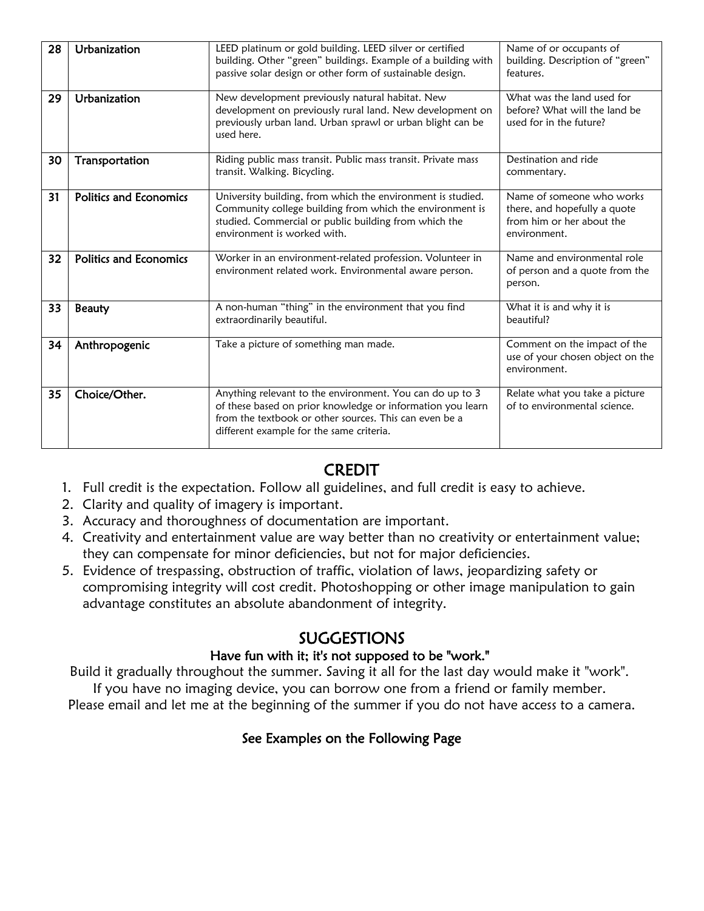| 28 | Urbanization                  | LEED platinum or gold building. LEED silver or certified<br>building. Other "green" buildings. Example of a building with                                                                                                    | Name of or occupants of<br>building. Description of "green"                                            |
|----|-------------------------------|------------------------------------------------------------------------------------------------------------------------------------------------------------------------------------------------------------------------------|--------------------------------------------------------------------------------------------------------|
|    |                               | passive solar design or other form of sustainable design.                                                                                                                                                                    | features.                                                                                              |
| 29 | Urbanization                  | New development previously natural habitat. New<br>development on previously rural land. New development on<br>previously urban land. Urban sprawl or urban blight can be<br>used here.                                      | What was the land used for<br>before? What will the land be<br>used for in the future?                 |
| 30 | Transportation                | Riding public mass transit. Public mass transit. Private mass<br>transit. Walking. Bicycling.                                                                                                                                | Destination and ride<br>commentary.                                                                    |
| 31 | <b>Politics and Economics</b> | University building, from which the environment is studied.<br>Community college building from which the environment is<br>studied. Commercial or public building from which the<br>environment is worked with.              | Name of someone who works<br>there, and hopefully a quote<br>from him or her about the<br>environment. |
| 32 | <b>Politics and Economics</b> | Worker in an environment-related profession. Volunteer in<br>environment related work. Environmental aware person.                                                                                                           | Name and environmental role<br>of person and a quote from the<br>person.                               |
| 33 | <b>Beauty</b>                 | A non-human "thing" in the environment that you find<br>extraordinarily beautiful.                                                                                                                                           | What it is and why it is<br>beautiful?                                                                 |
| 34 | Anthropogenic                 | Take a picture of something man made.                                                                                                                                                                                        | Comment on the impact of the<br>use of your chosen object on the<br>environment.                       |
| 35 | Choice/Other.                 | Anything relevant to the environment. You can do up to 3<br>of these based on prior knowledge or information you learn<br>from the textbook or other sources. This can even be a<br>different example for the same criteria. | Relate what you take a picture<br>of to environmental science.                                         |

## CREDIT

- 1. Full credit is the expectation. Follow all guidelines, and full credit is easy to achieve.
- 2. Clarity and quality of imagery is important.
- 3. Accuracy and thoroughness of documentation are important.
- 4. Creativity and entertainment value are way better than no creativity or entertainment value; they can compensate for minor deficiencies, but not for major deficiencies.
- 5. Evidence of trespassing, obstruction of traffic, violation of laws, jeopardizing safety or compromising integrity will cost credit. Photoshopping or other image manipulation to gain advantage constitutes an absolute abandonment of integrity.

## SUGGESTIONS

### Have fun with it; it's not supposed to be "work."

Build it gradually throughout the summer. Saving it all for the last day would make it "work". If you have no imaging device, you can borrow one from a friend or family member.

Please email and let me at the beginning of the summer if you do not have access to a camera.

### See Examples on the Following Page